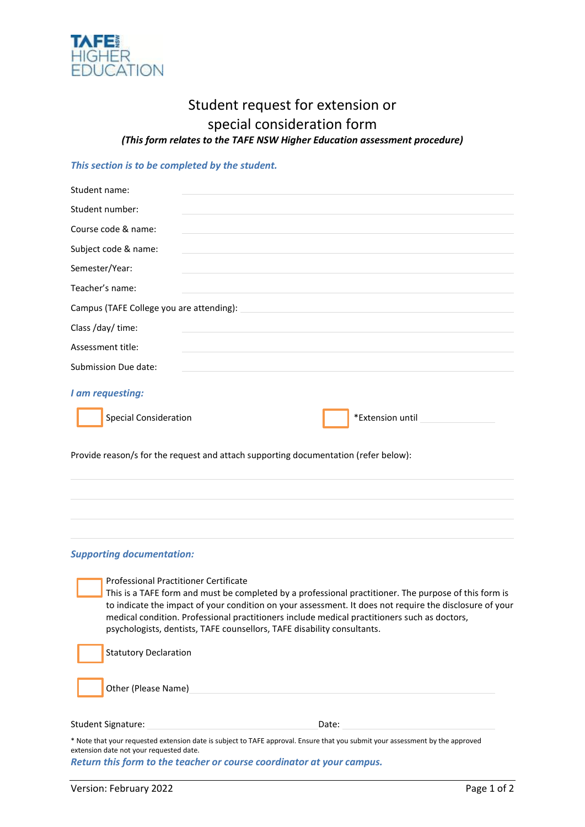

## Student request for extension or special consideration form *(This form relates to the TAFE NSW Higher Education assessment procedure)*

## *This section is to be completed by the student.*

| Student name:                |                                                                                                                                                                                                                               |                  |
|------------------------------|-------------------------------------------------------------------------------------------------------------------------------------------------------------------------------------------------------------------------------|------------------|
| Student number:              |                                                                                                                                                                                                                               |                  |
| Course code & name:          | and the control of the control of the control of the control of the control of the control of the control of the                                                                                                              |                  |
| Subject code & name:         | <u> 1989 - Johann Stoff, amerikansk politiker (d. 1989)</u>                                                                                                                                                                   |                  |
| Semester/Year:               | and the control of the control of the control of the control of the control of the control of the control of the                                                                                                              |                  |
| Teacher's name:              | the control of the control of the control of the control of the control of the control of the control of the control of the control of the control of the control of the control of the control of the control of the control |                  |
|                              | Campus (TAFE College you are attending): Network and the set of the set of the set of the set of the set of the                                                                                                               |                  |
| Class /day/ time:            | and the control of the control of the control of the control of the control of the control of the control of the                                                                                                              |                  |
| Assessment title:            |                                                                                                                                                                                                                               |                  |
| Submission Due date:         |                                                                                                                                                                                                                               |                  |
| I am requesting:             |                                                                                                                                                                                                                               |                  |
| <b>Special Consideration</b> |                                                                                                                                                                                                                               | *Extension until |

Provide reason/s for the request and attach supporting documentation (refer below):

## *Supporting documentation:*

Professional Practitioner Certificate This is a TAFE form and must be completed by a professional practitioner. The purpose of this form is to indicate the impact of your condition on your assessment. It does not require the disclosure of your medical condition. Professional practitioners include medical practitioners such as doctors, psychologists, dentists, TAFE counsellors, TAFE disability consultants.

| Statutory Declaration |
|-----------------------|
| Other (Please Name)   |

Student Signature: Date: Date: Date: Date: Date: Date: Date: Date: Date: Date: Date: Date: Date: Date: Date:  $\sim$  Date:  $\sim$  0.075  $\mu$ 

\* Note that your requested extension date is subject to TAFE approval. Ensure that you submit your assessment by the approved extension date not your requested date.

*Return this form to the teacher or course coordinator at your campus.*